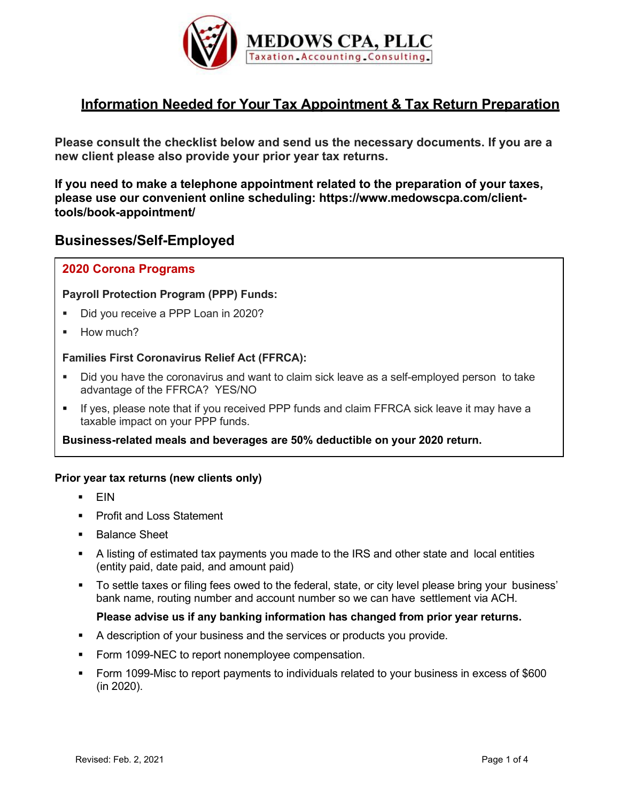

# **Information Needed for Your Tax Appointment & Tax Return Preparation**

**Please consult the checklist below and send us the necessary documents. If you are a new client please also provide your prior year tax returns.**

**If you need to make a telephone appointment related to the preparation of your taxes, please use our convenient online scheduling: https://www.medowscpa.com/clienttools/book-appointment/**

## **Businesses/Self-Employed**

### **2020 Corona Programs**

#### **Payroll Protection Program (PPP) Funds:**

- Did you receive a PPP Loan in 2020?
- **How much?**

#### **Families First Coronavirus Relief Act (FFRCA):**

- Did you have the coronavirus and want to claim sick leave as a self-employed person to take advantage of the FFRCA? YES/NO
- If yes, please note that if you received PPP funds and claim FFRCA sick leave it may have a taxable impact on your PPP funds.

#### **Business-related meals and beverages are 50% deductible on your 2020 return.**

#### **Prior year tax returns (new clients only)**

- $FIN$
- **Profit and Loss Statement**
- **Balance Sheet**
- A listing of estimated tax payments you made to the IRS and other state and local entities (entity paid, date paid, and amount paid)
- To settle taxes or filing fees owed to the federal, state, or city level please bring your business' bank name, routing number and account number so we can have settlement via ACH.

#### **Please advise us if any banking information has changed from prior year returns.**

- A description of your business and the services or products you provide.
- Form 1099-NEC to report nonemployee compensation.
- Form 1099-Misc to report payments to individuals related to your business in excess of \$600 (in 2020).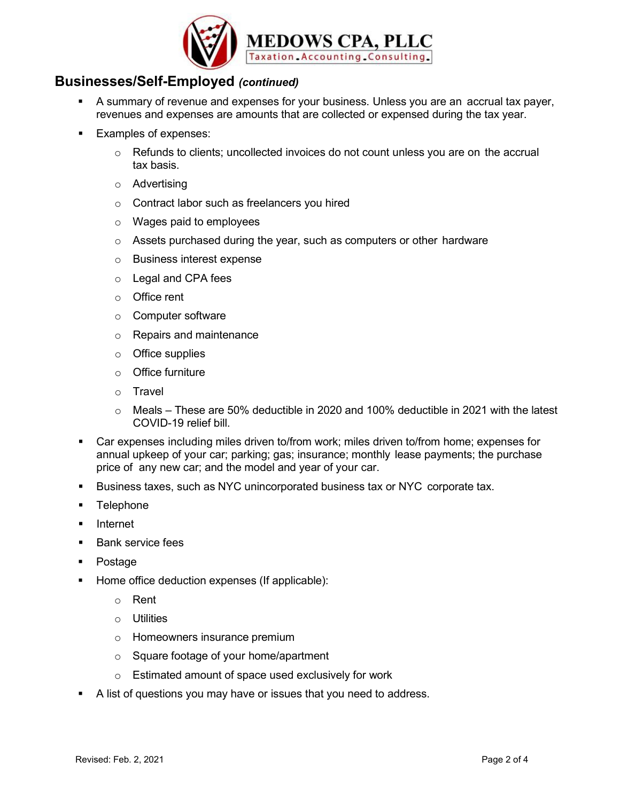

## **Businesses/Self-Employed** *(continued)*

- A summary of revenue and expenses for your business. Unless you are an accrual tax payer, revenues and expenses are amounts that are collected or expensed during the tax year.
- **Examples of expenses:** 
	- $\circ$  Refunds to clients; uncollected invoices do not count unless you are on the accrual tax basis.
	- o Advertising
	- o Contract labor such as freelancers you hired
	- o Wages paid to employees
	- o Assets purchased during the year, such as computers or other hardware
	- o Business interest expense
	- o Legal and CPA fees
	- o Office rent
	- o Computer software
	- o Repairs and maintenance
	- o Office supplies
	- o Office furniture
	- o Travel
	- $\circ$  Meals These are 50% deductible in 2020 and 100% deductible in 2021 with the latest COVID-19 relief bill.
- Car expenses including miles driven to/from work; miles driven to/from home; expenses for annual upkeep of your car; parking; gas; insurance; monthly lease payments; the purchase price of any new car; and the model and year of your car.
- Business taxes, such as NYC unincorporated business tax or NYC corporate tax.
- **Telephone**
- **Internet**
- **Bank service fees**
- Postage
- Home office deduction expenses (If applicable):
	- o Rent
	- o Utilities
	- o Homeowners insurance premium
	- o Square footage of your home/apartment
	- o Estimated amount of space used exclusively for work
- A list of questions you may have or issues that you need to address.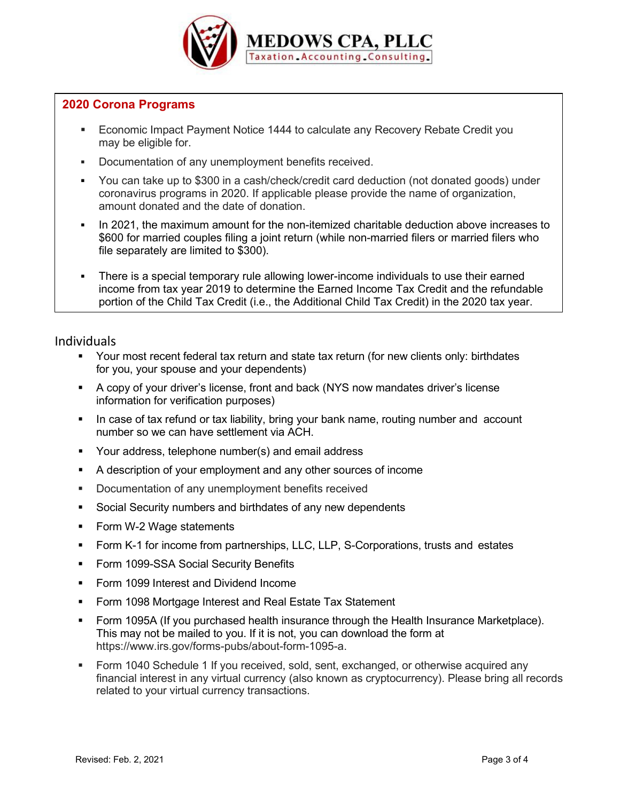

### **2020 Corona Programs**

- Economic Impact Payment Notice 1444 to calculate any Recovery Rebate Credit you may be eligible for.
- Documentation of any unemployment benefits received.
- You can take up to \$300 in a cash/check/credit card deduction (not donated goods) under coronavirus programs in 2020. If applicable please provide the name of organization, amount donated and the date of donation.
- In 2021, the maximum amount for the non-itemized charitable deduction above increases to \$600 for married couples filing a joint return (while non-married filers or married filers who file separately are limited to \$300).
- There is a special temporary rule allowing lower-income individuals to use their earned income from tax year 2019 to determine the Earned Income Tax Credit and the refundable portion of the Child Tax Credit (i.e., the Additional Child Tax Credit) in the 2020 tax year.

### Individuals

- Your most recent federal tax return and state tax return (for new clients only: birthdates for you, your spouse and your dependents)
- A copy of your driver's license, front and back (NYS now mandates driver's license information for verification purposes)
- In case of tax refund or tax liability, bring your bank name, routing number and account number so we can have settlement via ACH.
- **Your address, telephone number(s) and email address**
- A description of your employment and any other sources of income
- **Documentation of any unemployment benefits received**
- **Social Security numbers and birthdates of any new dependents**
- Form W-2 Wage statements
- Form K-1 for income from partnerships, LLC, LLP, S-Corporations, trusts and estates
- **Form 1099-SSA Social Security Benefits**
- **Form 1099 Interest and Dividend Income**
- **Form 1098 Mortgage Interest and Real Estate Tax Statement**
- Form 1095A (If you purchased health insurance through the Health Insurance Marketplace). This may not be mailed to you. If it is not, you can download the form at https://www.irs.gov/forms-pubs/about-form-1095-a.
- Form 1040 Schedule 1 If you received, sold, sent, exchanged, or otherwise acquired any financial interest in any virtual currency (also known as cryptocurrency). Please bring all records related to your virtual currency transactions.